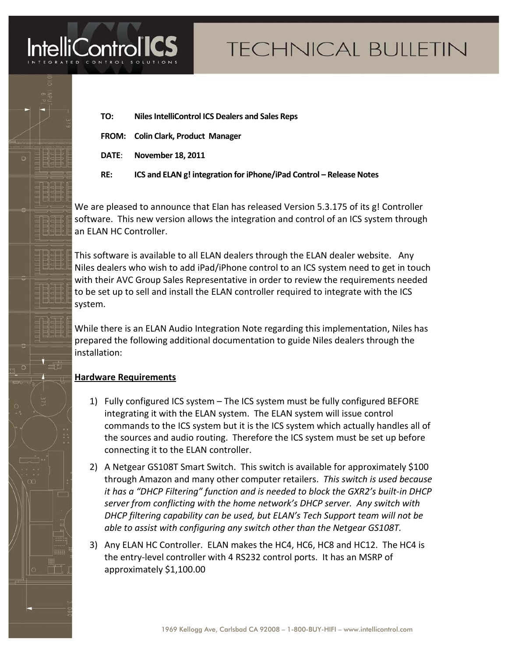

I

# **TECHNICAL BULLETIN**

- **TO: Niles IntelliControl ICS Dealers and Sales Reps**
- **FROM: Colin Clark, Product Manager**
- **DATE**: **November 18, 2011**
- **RE: ICS and ELAN g! integration for iPhone/iPad Control – Release Notes**

We are pleased to announce that Elan has released Version 5.3.175 of its g! Controller software. This new version allows the integration and control of an ICS system through an ELAN HC Controller.

This software is available to all ELAN dealers through the ELAN dealer website. Any Niles dealers who wish to add iPad/iPhone control to an ICS system need to get in touch with their AVC Group Sales Representative in order to review the requirements needed to be set up to sell and install the ELAN controller required to integrate with the ICS system.

While there is an ELAN Audio Integration Note regarding this implementation, Niles has prepared the following additional documentation to guide Niles dealers through the installation:

# **Hardware Requirements**

- 1) Fully configured ICS system The ICS system must be fully configured BEFORE integrating it with the ELAN system. The ELAN system will issue control commands to the ICS system but it is the ICS system which actually handles all of the sources and audio routing. Therefore the ICS system must be set up before connecting it to the ELAN controller.
- 2) A Netgear GS108T Smart Switch. This switch is available for approximately \$100 through Amazon and many other computer retailers. *This switch is used because it has a "DHCP Filtering" function and is needed to block the GXR2's built-in DHCP server from conflicting with the home network's DHCP server. Any switch with DHCP filtering capability can be used, but ELAN's Tech Support team will not be able to assist with configuring any switch other than the Netgear GS108T.*
- 3) Any ELAN HC Controller. ELAN makes the HC4, HC6, HC8 and HC12. The HC4 is the entry-level controller with 4 RS232 control ports. It has an MSRP of approximately \$1,100.00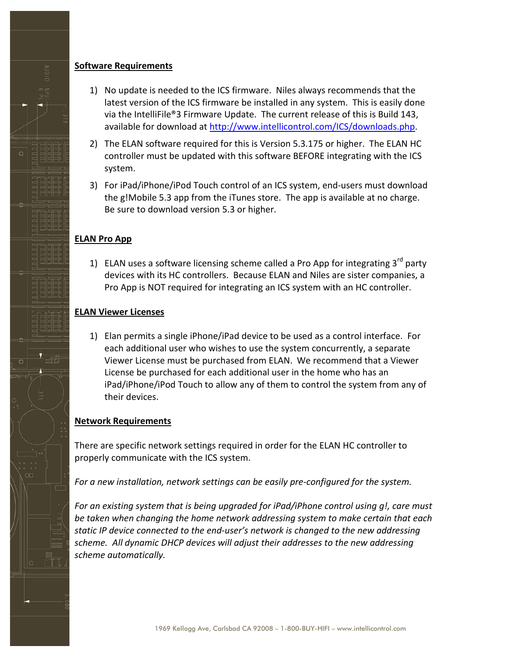#### **Software Requirements**

- 1) No update is needed to the ICS firmware. Niles always recommends that the latest version of the ICS firmware be installed in any system. This is easily done via the IntelliFile®3 Firmware Update. The current release of this is Build 143, available for download at [http://www.intellicontrol.com/ICS/downloads.php.](http://www.intellicontrol.com/ICS/downloads.php)
- 2) The ELAN software required for this is Version 5.3.175 or higher. The ELAN HC controller must be updated with this software BEFORE integrating with the ICS system.
- 3) For iPad/iPhone/iPod Touch control of an ICS system, end-users must download the g!Mobile 5.3 app from the iTunes store. The app is available at no charge. Be sure to download version 5.3 or higher.

## **ELAN Pro App**

1) ELAN uses a software licensing scheme called a Pro App for integrating  $3^{rd}$  party devices with its HC controllers. Because ELAN and Niles are sister companies, a Pro App is NOT required for integrating an ICS system with an HC controller.

## **ELAN Viewer Licenses**

1) Elan permits a single iPhone/iPad device to be used as a control interface. For each additional user who wishes to use the system concurrently, a separate Viewer License must be purchased from ELAN. We recommend that a Viewer License be purchased for each additional user in the home who has an iPad/iPhone/iPod Touch to allow any of them to control the system from any of their devices.

#### **Network Requirements**

There are specific network settings required in order for the ELAN HC controller to properly communicate with the ICS system.

*For a new installation, network settings can be easily pre-configured for the system.* 

*For an existing system that is being upgraded for iPad/iPhone control using g!, care must be taken when changing the home network addressing system to make certain that each static IP device connected to the end-user's network is changed to the new addressing scheme. All dynamic DHCP devices will adjust their addresses to the new addressing scheme automatically.*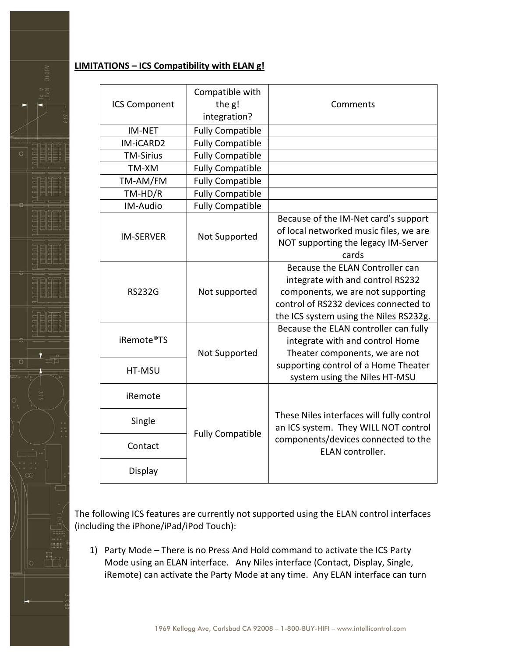#### **LIMITATIONS – ICS Compatibility with ELAN g!**

| <b>ICS Component</b>                                      | Compatible with<br>the g! | Comments                                                |
|-----------------------------------------------------------|---------------------------|---------------------------------------------------------|
|                                                           | integration?              |                                                         |
| <b>IM-NET</b>                                             | <b>Fully Compatible</b>   |                                                         |
| IM-iCARD2                                                 | <b>Fully Compatible</b>   |                                                         |
| <b>TM-Sirius</b>                                          | <b>Fully Compatible</b>   |                                                         |
| TM-XM                                                     | <b>Fully Compatible</b>   |                                                         |
| TM-AM/FM                                                  | <b>Fully Compatible</b>   |                                                         |
| $TM-HD/R$                                                 | <b>Fully Compatible</b>   |                                                         |
| IM-Audio                                                  | <b>Fully Compatible</b>   |                                                         |
| <b>IM-SERVER</b><br><b>RS232G</b><br>iRemote®TS<br>HT-MSU |                           | Because of the IM-Net card's support                    |
|                                                           | Not Supported             | of local networked music files, we are                  |
|                                                           |                           | NOT supporting the legacy IM-Server                     |
|                                                           |                           | cards                                                   |
|                                                           |                           | Because the ELAN Controller can                         |
|                                                           | Not supported             | integrate with and control RS232                        |
|                                                           |                           | components, we are not supporting                       |
|                                                           |                           | control of RS232 devices connected to                   |
|                                                           |                           | the ICS system using the Niles RS232g.                  |
|                                                           |                           | Because the ELAN controller can fully                   |
|                                                           |                           | integrate with and control Home                         |
|                                                           | Not Supported             | Theater components, we are not                          |
|                                                           |                           | supporting control of a Home Theater                    |
|                                                           |                           | system using the Niles HT-MSU                           |
| iRemote                                                   |                           |                                                         |
|                                                           |                           | These Niles interfaces will fully control               |
| Single                                                    | <b>Fully Compatible</b>   | an ICS system. They WILL NOT control                    |
| Contact                                                   |                           | components/devices connected to the<br>ELAN controller. |
| Display                                                   |                           |                                                         |

The following ICS features are currently not supported using the ELAN control interfaces (including the iPhone/iPad/iPod Touch):

1) Party Mode – There is no Press And Hold command to activate the ICS Party Mode using an ELAN interface. Any Niles interface (Contact, Display, Single, iRemote) can activate the Party Mode at any time. Any ELAN interface can turn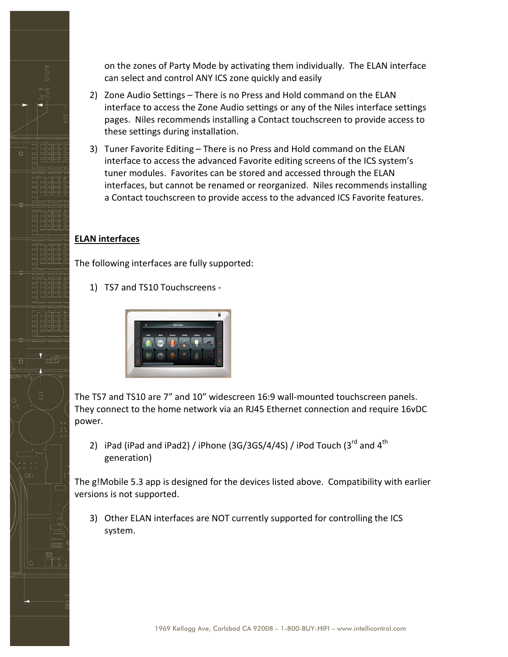on the zones of Party Mode by activating them individually. The ELAN interface can select and control ANY ICS zone quickly and easily

- 2) Zone Audio Settings There is no Press and Hold command on the ELAN interface to access the Zone Audio settings or any of the Niles interface settings pages. Niles recommends installing a Contact touchscreen to provide access to these settings during installation.
- 3) Tuner Favorite Editing There is no Press and Hold command on the ELAN interface to access the advanced Favorite editing screens of the ICS system's tuner modules. Favorites can be stored and accessed through the ELAN interfaces, but cannot be renamed or reorganized. Niles recommends installing a Contact touchscreen to provide access to the advanced ICS Favorite features.

#### **ELAN interfaces**

The following interfaces are fully supported:

1) TS7 and TS10 Touchscreens -



The TS7 and TS10 are 7" and 10" widescreen 16:9 wall-mounted touchscreen panels. They connect to the home network via an RJ45 Ethernet connection and require 16vDC power.

2) iPad (iPad and iPad2) / iPhone (3G/3GS/4/4S) / iPod Touch (3 $^{rd}$  and 4 $^{th}$ generation)

The g!Mobile 5.3 app is designed for the devices listed above. Compatibility with earlier versions is not supported.

3) Other ELAN interfaces are NOT currently supported for controlling the ICS system.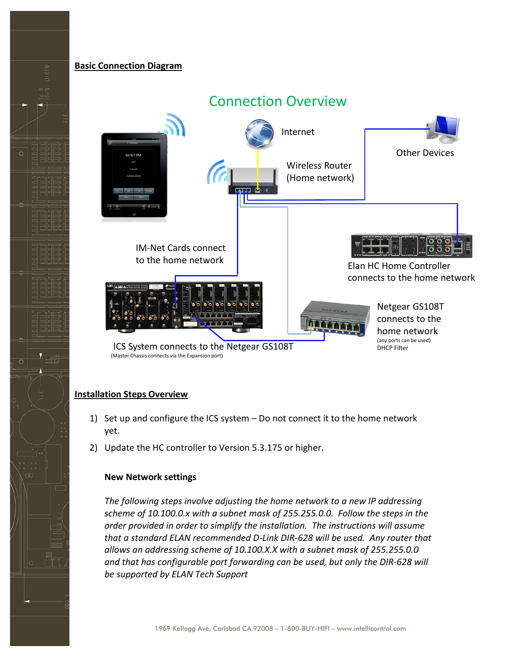#### **Basic Connection Diagram**



# Connection Overview

#### **Installation Steps Overview**

- 1) Set up and configure the ICS system Do not connect it to the home network yet.
- 2) Update the HC controller to Version 5.3.175 or higher.

#### **New Network settings**

*The following steps involve adjusting the home network to a new IP addressing scheme of 10.100.0.x with a subnet mask of 255.255.0.0. Follow the steps in the order provided in order to simplify the installation. The instructions will assume that a standard ELAN recommended D-Link DIR-628 will be used. Any router that allows an addressing scheme of 10.100.X.X with a subnet mask of 255.255.0.0 and that has configurable port forwarding can be used, but only the DIR-628 will be supported by ELAN Tech Support*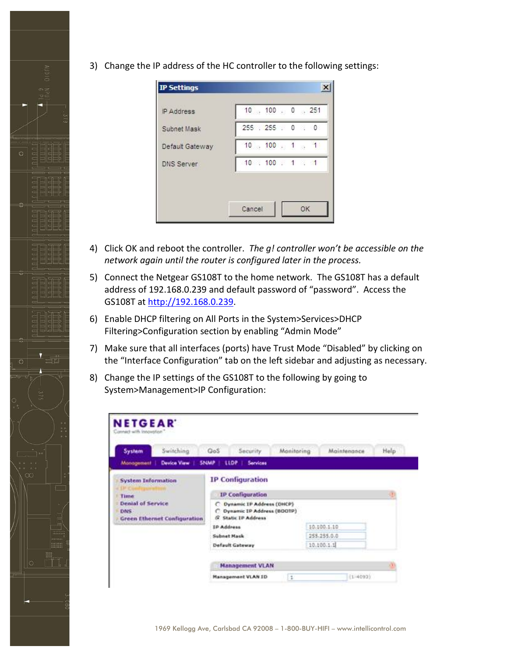3) Change the IP address of the HC controller to the following settings:

| IP Address        | $10$ , $100$ , $0$ , $251$ |
|-------------------|----------------------------|
| Subnet Mask       | 255 255 0 0                |
| Default Gateway   | $10$ , $100$ , $1$ , $1$   |
| <b>DNS Server</b> | $10$ $100$ $1$ $1$         |

- 4) Click OK and reboot the controller. *The g! controller won't be accessible on the network again until the router is configured later in the process.*
- 5) Connect the Netgear GS108T to the home network. The GS108T has a default address of 192.168.0.239 and default password of "password". Access the GS108T at [http://192.168.0.239.](http://192.168.0.239/)
- 6) Enable DHCP filtering on All Ports in the System>Services>DHCP Filtering>Configuration section by enabling "Admin Mode"
- 7) Make sure that all interfaces (ports) have Trust Mode "Disabled" by clicking on the "Interface Configuration" tab on the left sidebar and adjusting as necessary.
- 8) Change the IP settings of the GS108T to the following by going to System>Management>IP Configuration:

| System                                                                  | Switching          | QoS            | Security                                                                        | Monitoring | Maintenance | Help |  |
|-------------------------------------------------------------------------|--------------------|----------------|---------------------------------------------------------------------------------|------------|-------------|------|--|
| Management                                                              | <b>Device View</b> | <b>SNAMP</b> ! | <b>LLDP</b><br>Services                                                         |            |             |      |  |
| <b>System Information</b>                                               |                    |                | <b>IP Configuration</b>                                                         |            |             |      |  |
| Time                                                                    |                    |                | <b>IP Configuration</b>                                                         |            |             |      |  |
| <b>Denial of Service</b><br>DNS.<br><b>Green Ethernet Configuration</b> |                    | c              | Dynamic IP Address (DHCP)<br>Dynamic IP Address (BOOTP)<br>G. Static IP Address |            |             |      |  |
|                                                                         |                    |                | <b>IP Address</b>                                                               |            | 10.100.1.10 |      |  |
|                                                                         |                    |                | Subnet Mask                                                                     |            | 255.255.0.0 |      |  |
|                                                                         |                    |                | <b>Default Gateway</b>                                                          |            | 10.100.1.1  |      |  |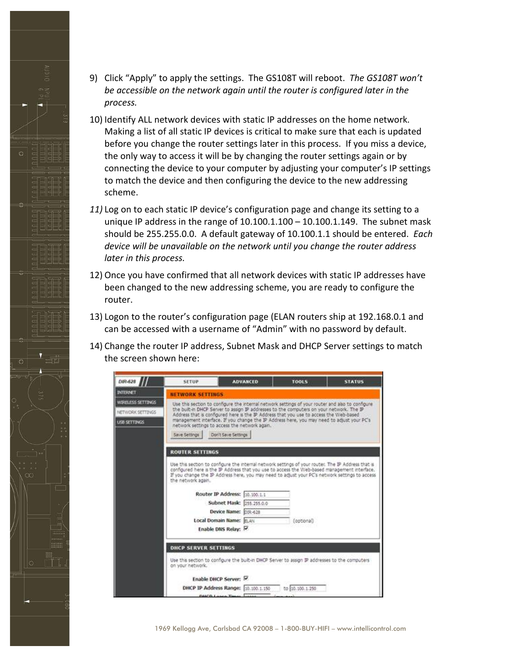- 9) Click "Apply" to apply the settings. The GS108T will reboot. *The GS108T won't be accessible on the network again until the router is configured later in the process.*
- 10) Identify ALL network devices with static IP addresses on the home network. Making a list of all static IP devices is critical to make sure that each is updated before you change the router settings later in this process. If you miss a device, the only way to access it will be by changing the router settings again or by connecting the device to your computer by adjusting your computer's IP settings to match the device and then configuring the device to the new addressing scheme.
- *11)* Log on to each static IP device's configuration page and change its setting to a unique IP address in the range of  $10.100.1.100 - 10.100.1.149$ . The subnet mask should be 255.255.0.0. A default gateway of 10.100.1.1 should be entered. *Each device will be unavailable on the network until you change the router address later in this process.*
- 12) Once you have confirmed that all network devices with static IP addresses have been changed to the new addressing scheme, you are ready to configure the router.
- 13) Logon to the router's configuration page (ELAN routers ship at 192.168.0.1 and can be accessed with a username of "Admin" with no password by default.
- 14) Change the router IP address, Subnet Mask and DHCP Server settings to match the screen shown here:



1969 Kellogg Ave, Carlsbad CA 92008 – 1-800-BUY-HIFI – www.intellicontrol.com